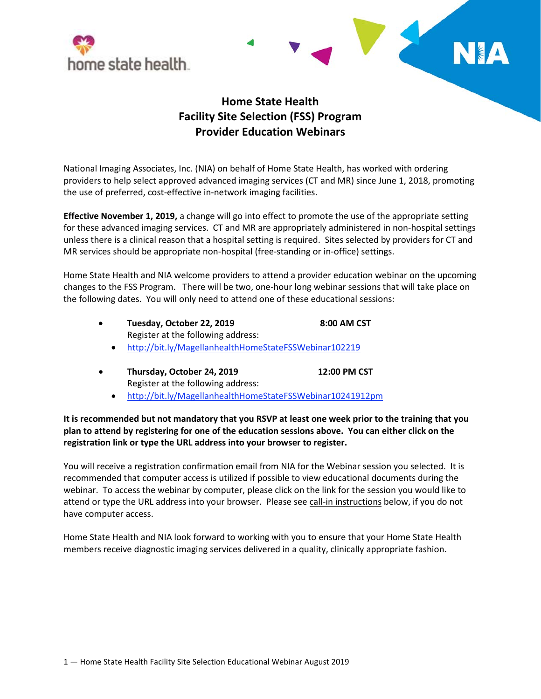



## **Home State Health Facility Site Selection (FSS) Program Provider Education Webinars**

National Imaging Associates, Inc. (NIA) on behalf of Home State Health, has worked with ordering providers to help select approved advanced imaging services (CT and MR) since June 1, 2018, promoting the use of preferred, cost-effective in-network imaging facilities.

**Effective November 1, 2019,** a change will go into effect to promote the use of the appropriate setting for these advanced imaging services. CT and MR are appropriately administered in non-hospital settings unless there is a clinical reason that a hospital setting is required. Sites selected by providers for CT and MR services should be appropriate non-hospital (free-standing or in-office) settings.

Home State Health and NIA welcome providers to attend a provider education webinar on the upcoming changes to the FSS Program. There will be two, one-hour long webinar sessions that will take place on the following dates. You will only need to attend one of these educational sessions:

| Tuesday, October 22, 2019          | 8:00 AM CST |
|------------------------------------|-------------|
| Register at the following address: |             |

- [http://bit.ly/MagellanhealthHomeStateFSSWebinar102219](http://bit.ly/MagellanhealthHomeStateFSSWebinar1022192)
- **Thursday, October 24, 2019 12:00 PM CST** Register at the following address:
	- <http://bit.ly/MagellanhealthHomeStateFSSWebinar10241912pm>

**It is recommended but not mandatory that you RSVP at least one week prior to the training that you plan to attend by registering for one of the education sessions above. You can either click on the registration link or type the URL address into your browser to register.**

You will receive a registration confirmation email from NIA for the Webinar session you selected. It is recommended that computer access is utilized if possible to view educational documents during the webinar. To access the webinar by computer, please click on the link for the session you would like to attend or type the URL address into your browser. Please see call-in instructions below, if you do not have computer access.

Home State Health and NIA look forward to working with you to ensure that your Home State Health members receive diagnostic imaging services delivered in a quality, clinically appropriate fashion.